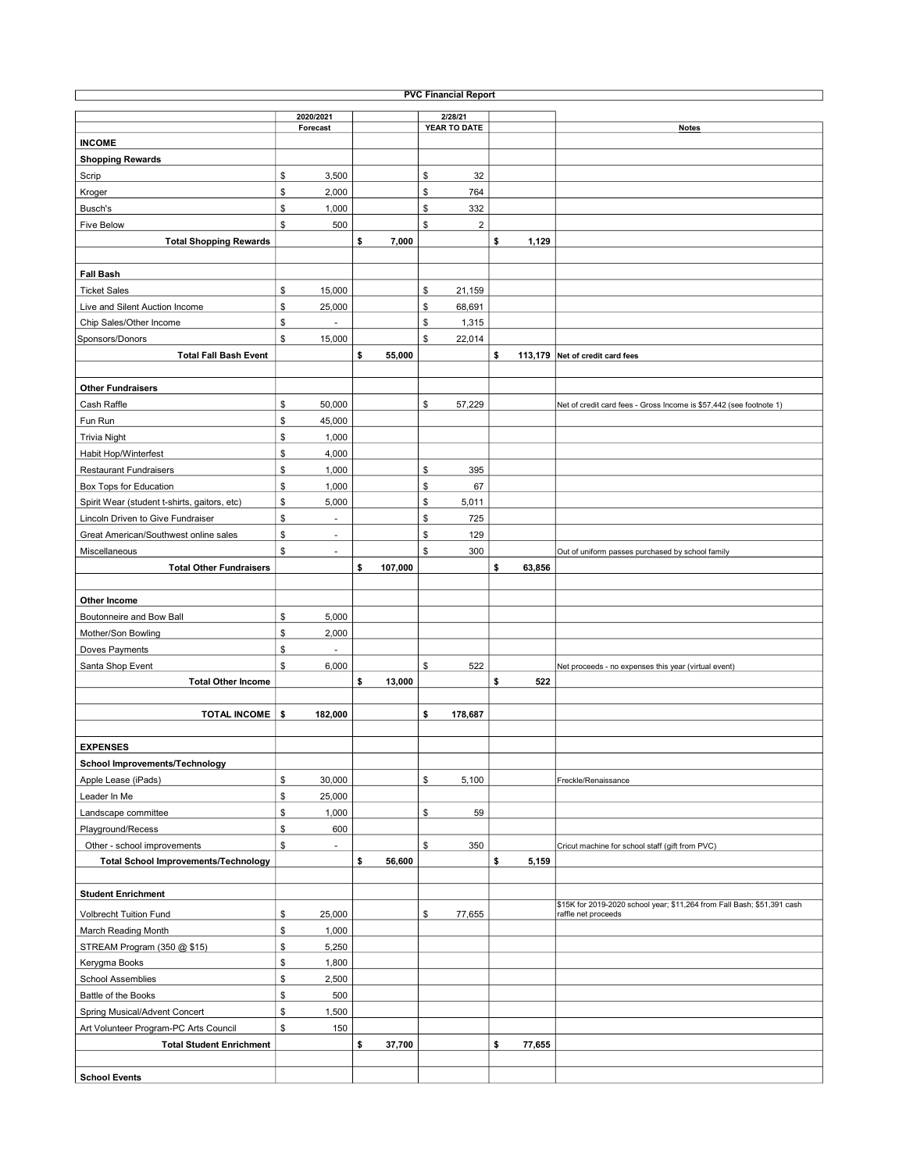| <b>PVC Financial Report</b>                  |    |                          |    |         |    |              |    |        |                                                                         |  |  |  |
|----------------------------------------------|----|--------------------------|----|---------|----|--------------|----|--------|-------------------------------------------------------------------------|--|--|--|
|                                              |    | 2020/2021                |    |         |    | 2/28/21      |    |        |                                                                         |  |  |  |
|                                              |    | Forecast                 |    |         |    | YEAR TO DATE |    |        | <b>Notes</b>                                                            |  |  |  |
| <b>INCOME</b>                                |    |                          |    |         |    |              |    |        |                                                                         |  |  |  |
| <b>Shopping Rewards</b>                      |    |                          |    |         |    |              |    |        |                                                                         |  |  |  |
| Scrip                                        | \$ | 3,500                    |    |         | \$ | 32           |    |        |                                                                         |  |  |  |
| Kroger                                       | \$ | 2,000                    |    |         | \$ | 764          |    |        |                                                                         |  |  |  |
| Busch's                                      | \$ | 1,000                    |    |         | \$ | 332          |    |        |                                                                         |  |  |  |
| <b>Five Below</b>                            | \$ | 500                      |    |         | \$ | $\sqrt{2}$   |    |        |                                                                         |  |  |  |
| <b>Total Shopping Rewards</b>                |    |                          | \$ | 7,000   |    |              | \$ | 1,129  |                                                                         |  |  |  |
|                                              |    |                          |    |         |    |              |    |        |                                                                         |  |  |  |
| <b>Fall Bash</b>                             |    |                          |    |         |    |              |    |        |                                                                         |  |  |  |
| <b>Ticket Sales</b>                          | \$ | 15,000                   |    |         | \$ | 21,159       |    |        |                                                                         |  |  |  |
| Live and Silent Auction Income               | \$ | 25,000                   |    |         | \$ | 68,691       |    |        |                                                                         |  |  |  |
| Chip Sales/Other Income                      | \$ | L.                       |    |         | \$ | 1,315        |    |        |                                                                         |  |  |  |
| Sponsors/Donors                              | \$ | 15,000                   |    |         | \$ | 22,014       |    |        |                                                                         |  |  |  |
| <b>Total Fall Bash Event</b>                 |    |                          | \$ | 55,000  |    |              | \$ |        | 113,179 Net of credit card fees                                         |  |  |  |
|                                              |    |                          |    |         |    |              |    |        |                                                                         |  |  |  |
| <b>Other Fundraisers</b>                     |    |                          |    |         |    |              |    |        |                                                                         |  |  |  |
| Cash Raffle                                  | \$ | 50,000                   |    |         | \$ | 57,229       |    |        | Net of credit card fees - Gross Income is \$57,442 (see footnote 1)     |  |  |  |
| Fun Run                                      | \$ | 45,000                   |    |         |    |              |    |        |                                                                         |  |  |  |
| <b>Trivia Night</b>                          | \$ | 1,000                    |    |         |    |              |    |        |                                                                         |  |  |  |
| Habit Hop/Winterfest                         | \$ | 4,000                    |    |         |    |              |    |        |                                                                         |  |  |  |
| <b>Restaurant Fundraisers</b>                | \$ | 1,000                    |    |         | \$ | 395          |    |        |                                                                         |  |  |  |
| Box Tops for Education                       | \$ | 1,000                    |    |         | \$ | 67           |    |        |                                                                         |  |  |  |
| Spirit Wear (student t-shirts, gaitors, etc) | \$ | 5,000                    |    |         | \$ | 5,011        |    |        |                                                                         |  |  |  |
| Lincoln Driven to Give Fundraiser            | \$ | ä,                       |    |         | \$ | 725          |    |        |                                                                         |  |  |  |
| Great American/Southwest online sales        | \$ | $\sim$                   |    |         | \$ | 129          |    |        |                                                                         |  |  |  |
| Miscellaneous                                | \$ | $\sim$                   |    |         | \$ | 300          |    |        |                                                                         |  |  |  |
| <b>Total Other Fundraisers</b>               |    |                          | \$ | 107,000 |    |              | \$ | 63,856 | Out of uniform passes purchased by school family                        |  |  |  |
|                                              |    |                          |    |         |    |              |    |        |                                                                         |  |  |  |
|                                              |    |                          |    |         |    |              |    |        |                                                                         |  |  |  |
| Other Income                                 | \$ | 5,000                    |    |         |    |              |    |        |                                                                         |  |  |  |
| Boutonneire and Bow Ball                     |    |                          |    |         |    |              |    |        |                                                                         |  |  |  |
| Mother/Son Bowling                           | \$ | 2,000                    |    |         |    |              |    |        |                                                                         |  |  |  |
| Doves Payments                               | \$ | $\overline{\phantom{a}}$ |    |         |    |              |    |        |                                                                         |  |  |  |
| Santa Shop Event                             | \$ | 6,000                    |    |         | \$ | 522          |    |        | Net proceeds - no expenses this year (virtual event)                    |  |  |  |
| <b>Total Other Income</b>                    |    |                          | \$ | 13,000  |    |              | \$ | 522    |                                                                         |  |  |  |
|                                              |    |                          |    |         |    |              |    |        |                                                                         |  |  |  |
| <b>TOTAL INCOME</b>                          | \$ | 182,000                  |    |         | \$ | 178,687      |    |        |                                                                         |  |  |  |
|                                              |    |                          |    |         |    |              |    |        |                                                                         |  |  |  |
| <b>EXPENSES</b>                              |    |                          |    |         |    |              |    |        |                                                                         |  |  |  |
| School Improvements/Technology               |    |                          |    |         |    |              |    |        |                                                                         |  |  |  |
| Apple Lease (iPads)                          | \$ | 30,000                   |    |         | \$ | 5,100        |    |        | Freckle/Renaissance                                                     |  |  |  |
| Leader In Me                                 | \$ | 25,000                   |    |         |    |              |    |        |                                                                         |  |  |  |
| Landscape committee                          | \$ | 1,000                    |    |         | \$ | 59           |    |        |                                                                         |  |  |  |
| Playground/Recess                            | \$ | 600                      |    |         |    |              |    |        |                                                                         |  |  |  |
| Other - school improvements                  | \$ | ٠                        |    |         | \$ | 350          |    |        | Cricut machine for school staff (gift from PVC)                         |  |  |  |
| <b>Total School Improvements/Technology</b>  |    |                          | \$ | 56,600  |    |              | \$ | 5,159  |                                                                         |  |  |  |
|                                              |    |                          |    |         |    |              |    |        |                                                                         |  |  |  |
| <b>Student Enrichment</b>                    |    |                          |    |         |    |              |    |        | \$15K for 2019-2020 school year; \$11,264 from Fall Bash; \$51,391 cash |  |  |  |
| <b>Volbrecht Tuition Fund</b>                | \$ | 25,000                   |    |         | \$ | 77,655       |    |        | raffle net proceeds                                                     |  |  |  |
| March Reading Month                          | \$ | 1,000                    |    |         |    |              |    |        |                                                                         |  |  |  |
| STREAM Program (350 @ \$15)                  | \$ | 5,250                    |    |         |    |              |    |        |                                                                         |  |  |  |
| Kerygma Books                                | \$ | 1,800                    |    |         |    |              |    |        |                                                                         |  |  |  |
| School Assemblies                            | \$ | 2,500                    |    |         |    |              |    |        |                                                                         |  |  |  |
| Battle of the Books                          | \$ | 500                      |    |         |    |              |    |        |                                                                         |  |  |  |
| Spring Musical/Advent Concert                | \$ | 1,500                    |    |         |    |              |    |        |                                                                         |  |  |  |
| Art Volunteer Program-PC Arts Council        | \$ | 150                      |    |         |    |              |    |        |                                                                         |  |  |  |
| <b>Total Student Enrichment</b>              |    |                          | \$ | 37,700  |    |              | \$ | 77,655 |                                                                         |  |  |  |
|                                              |    |                          |    |         |    |              |    |        |                                                                         |  |  |  |
| <b>School Events</b>                         |    |                          |    |         |    |              |    |        |                                                                         |  |  |  |
|                                              |    |                          |    |         |    |              |    |        |                                                                         |  |  |  |